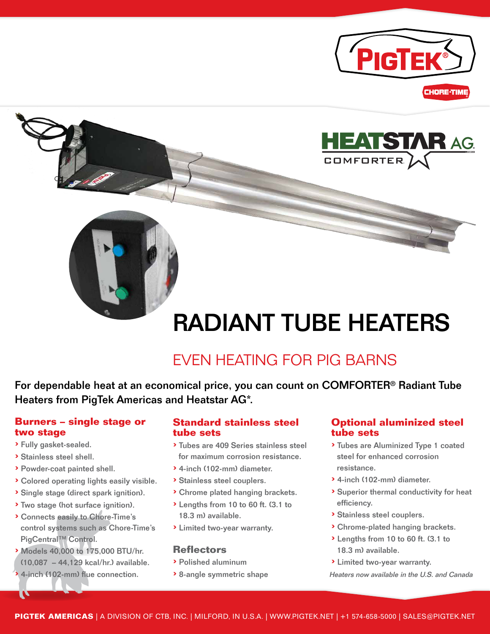





# RADIANT TUBE HEATERS

## EVEN HEATING FOR PIG BARNS

For dependable heat at an economical price, you can count on COMFORTER® Radiant Tube Heaters from PigTek Americas and Heatstar AG\*.

#### **Burners – single stage or two stage**

- › Fully gasket-sealed.
- › Stainless steel shell.

U

- › Powder-coat painted shell.
- › Colored operating lights easily visible.
- › Single stage (direct spark ignition).
- › Two stage (hot surface ignition).
- › Connects easily to Chore-Time's control systems such as Chore-Time's PigCentral™ Control.
- › Models 40,000 to 175,000 BTU/hr. (10,087 – 44,129 kcal/hr.) available.
- › 4-inch (102-mm) flue connection.

#### **Standard stainless steel tube sets**

- › Tubes are 409 Series stainless steel for maximum corrosion resistance.
- › 4-inch (102-mm) diameter.
- › Stainless steel couplers.
- › Chrome plated hanging brackets.
- › Lengths from 10 to 60 ft. (3.1 to 18.3 m) available.
- › Limited two-year warranty.

#### **Reflectors**

- › Polished aluminum
- › 8-angle symmetric shape

#### **Optional aluminized steel tube sets**

- › Tubes are Aluminized Type 1 coated steel for enhanced corrosion resistance.
- › 4-inch (102-mm) diameter.
- › Superior thermal conductivity for heat efficiency.
- › Stainless steel couplers.
- › Chrome-plated hanging brackets.
- › Lengths from 10 to 60 ft. (3.1 to 18.3 m) available.
- › Limited two-year warranty.
- Heaters now available in the U.S. and Canada